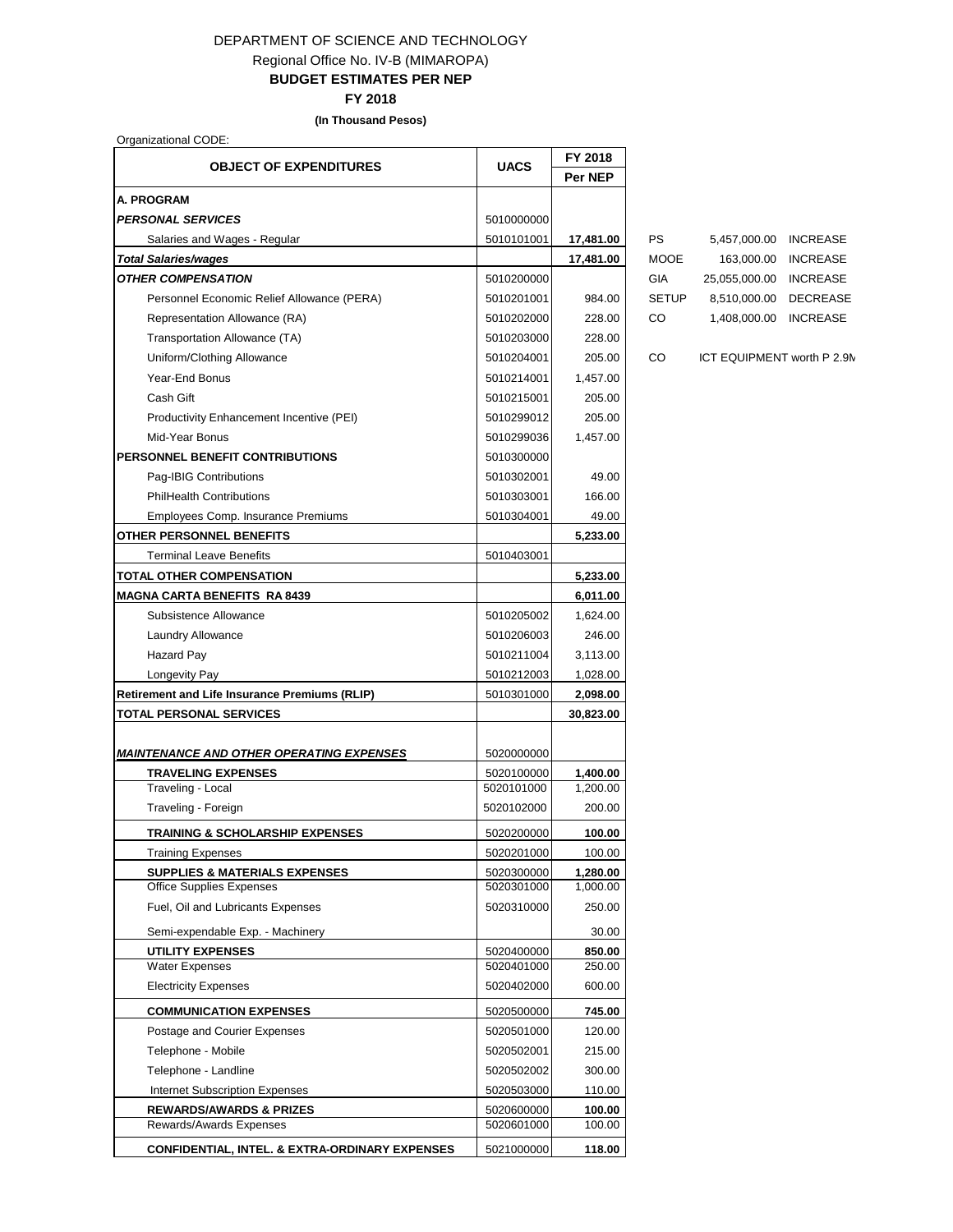## DEPARTMENT OF SCIENCE AND TECHNOLOGY Regional Office No. IV-B (MIMAROPA) **BUDGET ESTIMATES PER NEP**

**FY 2018**

**(In Thousand Pesos)**

Organizational CODE:

|                                                           |             | FY 2018        |
|-----------------------------------------------------------|-------------|----------------|
| <b>OBJECT OF EXPENDITURES</b>                             | <b>UACS</b> | <b>Per NEP</b> |
| <b>A. PROGRAM</b>                                         |             |                |
| <b>PERSONAL SERVICES</b>                                  | 5010000000  |                |
| Salaries and Wages - Regular                              | 5010101001  | 17,481.00      |
| <b>Total Salaries/wages</b>                               |             | 17,481.00      |
| <b>OTHER COMPENSATION</b>                                 | 5010200000  |                |
| Personnel Economic Relief Allowance (PERA)                | 5010201001  | 984.00         |
| Representation Allowance (RA)                             | 5010202000  | 228.00         |
| Transportation Allowance (TA)                             | 5010203000  | 228.00         |
| Uniform/Clothing Allowance                                | 5010204001  | 205.00         |
| Year-End Bonus                                            | 5010214001  | 1,457.00       |
| Cash Gift                                                 | 5010215001  | 205.00         |
| Productivity Enhancement Incentive (PEI)                  | 5010299012  | 205.00         |
| Mid-Year Bonus                                            | 5010299036  | 1,457.00       |
| <b>PERSONNEL BENEFIT CONTRIBUTIONS</b>                    | 5010300000  |                |
| Pag-IBIG Contributions                                    | 5010302001  | 49.00          |
| <b>PhilHealth Contributions</b>                           |             |                |
|                                                           | 5010303001  | 166.00         |
| Employees Comp. Insurance Premiums                        | 5010304001  | 49.00          |
| OTHER PERSONNEL BENEFITS                                  |             | 5,233.00       |
| <b>Terminal Leave Benefits</b>                            | 5010403001  |                |
| TOTAL OTHER COMPENSATION                                  |             | 5,233.00       |
| <b>MAGNA CARTA BENEFITS RA 8439</b>                       |             | 6,011.00       |
| Subsistence Allowance                                     | 5010205002  | 1,624.00       |
| Laundry Allowance                                         | 5010206003  | 246.00         |
| <b>Hazard Pay</b>                                         | 5010211004  | 3,113.00       |
| Longevity Pay                                             | 5010212003  | 1,028.00       |
| <b>Retirement and Life Insurance Premiums (RLIP)</b>      | 5010301000  | 2,098.00       |
| <b>TOTAL PERSONAL SERVICES</b>                            |             | 30,823.00      |
|                                                           |             |                |
| <b>MAINTENANCE AND OTHER OPERATING EXPENSES</b>           | 5020000000  |                |
| <b>TRAVELING EXPENSES</b>                                 | 5020100000  | 1,400.00       |
| Traveling - Local                                         | 5020101000  | 1,200.00       |
| Traveling - Foreign                                       | 5020102000  | 200.00         |
| <b>TRAINING &amp; SCHOLARSHIP EXPENSES</b>                | 5020200000  | 100.00         |
| <b>Training Expenses</b>                                  | 5020201000  | 100.00         |
| <b>SUPPLIES &amp; MATERIALS EXPENSES</b>                  | 5020300000  | 1,280.00       |
| <b>Office Supplies Expenses</b>                           | 5020301000  | 1,000.00       |
| Fuel, Oil and Lubricants Expenses                         | 5020310000  | 250.00         |
| Semi-expendable Exp. - Machinery                          |             | 30.00          |
| <b>UTILITY EXPENSES</b>                                   | 5020400000  | 850.00         |
| <b>Water Expenses</b>                                     | 5020401000  | 250.00         |
| <b>Electricity Expenses</b>                               | 5020402000  | 600.00         |
| <b>COMMUNICATION EXPENSES</b>                             | 5020500000  | 745.00         |
| Postage and Courier Expenses                              | 5020501000  | 120.00         |
| Telephone - Mobile                                        | 5020502001  | 215.00         |
| Telephone - Landline                                      | 5020502002  | 300.00         |
| <b>Internet Subscription Expenses</b>                     | 5020503000  | 110.00         |
| <b>REWARDS/AWARDS &amp; PRIZES</b>                        | 5020600000  | 100.00         |
| Rewards/Awards Expenses                                   | 5020601000  | 100.00         |
| <b>CONFIDENTIAL, INTEL. &amp; EXTRA-ORDINARY EXPENSES</b> | 5021000000  | 118.00         |

Salaries and Wages - Regular 5010101001 **17,481.00** PS 5,457,000.00 INCREASE *Total Salaries/wages* **17,481.00** MOOE 163,000.00 INCREASE GIA 25,055,000.00 INCREASE SETUP 8,510,000.00 DECREASE CO 1,408,000.00 INCREASE

CO ICT EQUIPMENT worth P 2.9M